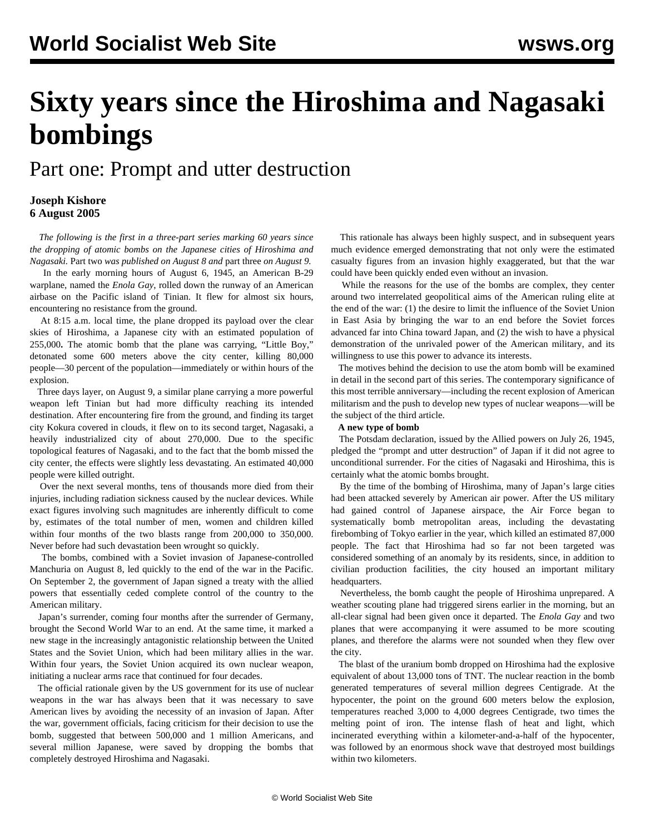# **Sixty years since the Hiroshima and Nagasaki bombings**

## Part one: Prompt and utter destruction

#### **Joseph Kishore 6 August 2005**

 *The following is the first in a three-part series marking 60 years since the dropping of atomic bombs on the Japanese cities of Hiroshima and Nagasaki.* [Part two](/share/page/site/wsws/hiro-a08.html) *was published on August 8 and* [part three](/share/page/site/wsws/hiro-a09.html) *on August 9.*

 In the early morning hours of August 6, 1945, an American B-29 warplane, named the *Enola Gay*, rolled down the runway of an American airbase on the Pacific island of Tinian. It flew for almost six hours, encountering no resistance from the ground.

 At 8:15 a.m. local time, the plane dropped its payload over the clear skies of Hiroshima, a Japanese city with an estimated population of 255,000**.** The atomic bomb that the plane was carrying, "Little Boy," detonated some 600 meters above the city center, killing 80,000 people—30 percent of the population—immediately or within hours of the explosion.

 Three days layer, on August 9, a similar plane carrying a more powerful weapon left Tinian but had more difficulty reaching its intended destination. After encountering fire from the ground, and finding its target city Kokura covered in clouds, it flew on to its second target, Nagasaki, a heavily industrialized city of about 270,000. Due to the specific topological features of Nagasaki, and to the fact that the bomb missed the city center, the effects were slightly less devastating. An estimated 40,000 people were killed outright.

 Over the next several months, tens of thousands more died from their injuries, including radiation sickness caused by the nuclear devices. While exact figures involving such magnitudes are inherently difficult to come by, estimates of the total number of men, women and children killed within four months of the two blasts range from 200,000 to 350,000. Never before had such devastation been wrought so quickly.

 The bombs, combined with a Soviet invasion of Japanese-controlled Manchuria on August 8, led quickly to the end of the war in the Pacific. On September 2, the government of Japan signed a treaty with the allied powers that essentially ceded complete control of the country to the American military.

 Japan's surrender, coming four months after the surrender of Germany, brought the Second World War to an end. At the same time, it marked a new stage in the increasingly antagonistic relationship between the United States and the Soviet Union, which had been military allies in the war. Within four years, the Soviet Union acquired its own nuclear weapon, initiating a nuclear arms race that continued for four decades.

 The official rationale given by the US government for its use of nuclear weapons in the war has always been that it was necessary to save American lives by avoiding the necessity of an invasion of Japan. After the war, government officials, facing criticism for their decision to use the bomb, suggested that between 500,000 and 1 million Americans, and several million Japanese, were saved by dropping the bombs that completely destroyed Hiroshima and Nagasaki.

 This rationale has always been highly suspect, and in subsequent years much evidence emerged demonstrating that not only were the estimated casualty figures from an invasion highly exaggerated, but that the war could have been quickly ended even without an invasion.

 While the reasons for the use of the bombs are complex, they center around two interrelated geopolitical aims of the American ruling elite at the end of the war: (1) the desire to limit the influence of the Soviet Union in East Asia by bringing the war to an end before the Soviet forces advanced far into China toward Japan, and (2) the wish to have a physical demonstration of the unrivaled power of the American military, and its willingness to use this power to advance its interests.

 The motives behind the decision to use the atom bomb will be examined in detail in the second part of this series. The contemporary significance of this most terrible anniversary—including the recent explosion of American militarism and the push to develop new types of nuclear weapons—will be the subject of the third article.

#### **A new type of bomb**

 The Potsdam declaration, issued by the Allied powers on July 26, 1945, pledged the "prompt and utter destruction" of Japan if it did not agree to unconditional surrender. For the cities of Nagasaki and Hiroshima, this is certainly what the atomic bombs brought.

 By the time of the bombing of Hiroshima, many of Japan's large cities had been attacked severely by American air power. After the US military had gained control of Japanese airspace, the Air Force began to systematically bomb metropolitan areas, including the devastating firebombing of Tokyo earlier in the year, which killed an estimated 87,000 people. The fact that Hiroshima had so far not been targeted was considered something of an anomaly by its residents, since, in addition to civilian production facilities, the city housed an important military headquarters.

 Nevertheless, the bomb caught the people of Hiroshima unprepared. A weather scouting plane had triggered sirens earlier in the morning, but an all-clear signal had been given once it departed. The *Enola Gay* and two planes that were accompanying it were assumed to be more scouting planes, and therefore the alarms were not sounded when they flew over the city.

 The blast of the uranium bomb dropped on Hiroshima had the explosive equivalent of about 13,000 tons of TNT. The nuclear reaction in the bomb generated temperatures of several million degrees Centigrade. At the hypocenter, the point on the ground 600 meters below the explosion, temperatures reached 3,000 to 4,000 degrees Centigrade, two times the melting point of iron. The intense flash of heat and light, which incinerated everything within a kilometer-and-a-half of the hypocenter, was followed by an enormous shock wave that destroyed most buildings within two kilometers.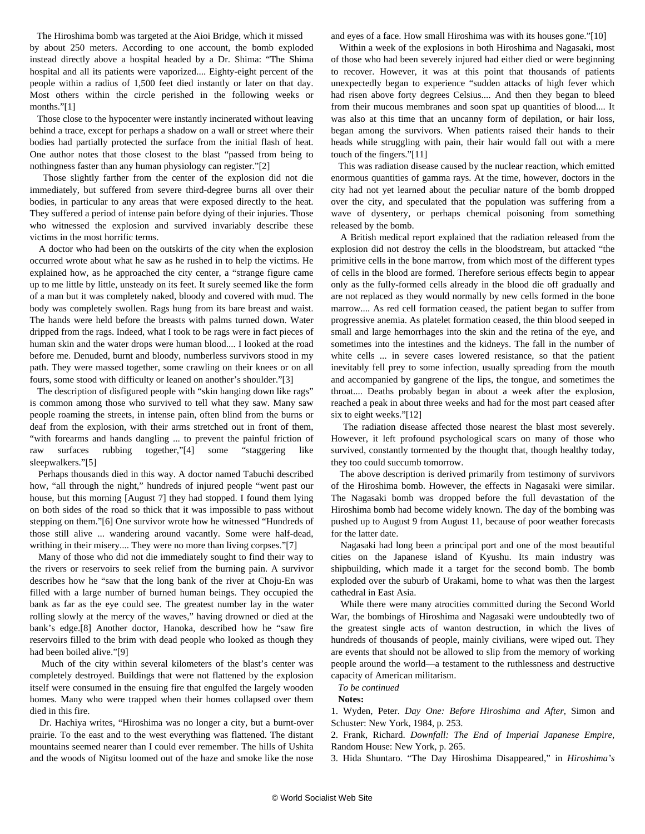The Hiroshima bomb was targeted at the Aioi Bridge, which it missed by about 250 meters. According to one account, the bomb exploded instead directly above a hospital headed by a Dr. Shima: "The Shima hospital and all its patients were vaporized.... Eighty-eight percent of the people within a radius of 1,500 feet died instantly or later on that day. Most others within the circle perished in the following weeks or months."[1]

 Those close to the hypocenter were instantly incinerated without leaving behind a trace, except for perhaps a shadow on a wall or street where their bodies had partially protected the surface from the initial flash of heat. One author notes that those closest to the blast "passed from being to nothingness faster than any human physiology can register."[2]

 Those slightly farther from the center of the explosion did not die immediately, but suffered from severe third-degree burns all over their bodies, in particular to any areas that were exposed directly to the heat. They suffered a period of intense pain before dying of their injuries. Those who witnessed the explosion and survived invariably describe these victims in the most horrific terms.

 A doctor who had been on the outskirts of the city when the explosion occurred wrote about what he saw as he rushed in to help the victims. He explained how, as he approached the city center, a "strange figure came up to me little by little, unsteady on its feet. It surely seemed like the form of a man but it was completely naked, bloody and covered with mud. The body was completely swollen. Rags hung from its bare breast and waist. The hands were held before the breasts with palms turned down. Water dripped from the rags. Indeed, what I took to be rags were in fact pieces of human skin and the water drops were human blood.... I looked at the road before me. Denuded, burnt and bloody, numberless survivors stood in my path. They were massed together, some crawling on their knees or on all fours, some stood with difficulty or leaned on another's shoulder."[3]

 The description of disfigured people with "skin hanging down like rags" is common among those who survived to tell what they saw. Many saw people roaming the streets, in intense pain, often blind from the burns or deaf from the explosion, with their arms stretched out in front of them, "with forearms and hands dangling ... to prevent the painful friction of raw surfaces rubbing together,"[4] some "staggering like sleepwalkers."[5]

 Perhaps thousands died in this way. A doctor named Tabuchi described how, "all through the night," hundreds of injured people "went past our house, but this morning [August 7] they had stopped. I found them lying on both sides of the road so thick that it was impossible to pass without stepping on them."[6] One survivor wrote how he witnessed "Hundreds of those still alive ... wandering around vacantly. Some were half-dead, writhing in their misery.... They were no more than living corpses."[7]

 Many of those who did not die immediately sought to find their way to the rivers or reservoirs to seek relief from the burning pain. A survivor describes how he "saw that the long bank of the river at Choju-En was filled with a large number of burned human beings. They occupied the bank as far as the eye could see. The greatest number lay in the water rolling slowly at the mercy of the waves," having drowned or died at the bank's edge.[8] Another doctor, Hanoka, described how he "saw fire reservoirs filled to the brim with dead people who looked as though they had been boiled alive."[9]

 Much of the city within several kilometers of the blast's center was completely destroyed. Buildings that were not flattened by the explosion itself were consumed in the ensuing fire that engulfed the largely wooden homes. Many who were trapped when their homes collapsed over them died in this fire.

 Dr. Hachiya writes, "Hiroshima was no longer a city, but a burnt-over prairie. To the east and to the west everything was flattened. The distant mountains seemed nearer than I could ever remember. The hills of Ushita and the woods of Nigitsu loomed out of the haze and smoke like the nose

and eyes of a face. How small Hiroshima was with its houses gone."[10]

 Within a week of the explosions in both Hiroshima and Nagasaki, most of those who had been severely injured had either died or were beginning to recover. However, it was at this point that thousands of patients unexpectedly began to experience "sudden attacks of high fever which had risen above forty degrees Celsius.... And then they began to bleed from their mucous membranes and soon spat up quantities of blood.... It was also at this time that an uncanny form of depilation, or hair loss, began among the survivors. When patients raised their hands to their heads while struggling with pain, their hair would fall out with a mere touch of the fingers."[11]

 This was radiation disease caused by the nuclear reaction, which emitted enormous quantities of gamma rays. At the time, however, doctors in the city had not yet learned about the peculiar nature of the bomb dropped over the city, and speculated that the population was suffering from a wave of dysentery, or perhaps chemical poisoning from something released by the bomb.

 A British medical report explained that the radiation released from the explosion did not destroy the cells in the bloodstream, but attacked "the primitive cells in the bone marrow, from which most of the different types of cells in the blood are formed. Therefore serious effects begin to appear only as the fully-formed cells already in the blood die off gradually and are not replaced as they would normally by new cells formed in the bone marrow.... As red cell formation ceased, the patient began to suffer from progressive anemia. As platelet formation ceased, the thin blood seeped in small and large hemorrhages into the skin and the retina of the eye, and sometimes into the intestines and the kidneys. The fall in the number of white cells ... in severe cases lowered resistance, so that the patient inevitably fell prey to some infection, usually spreading from the mouth and accompanied by gangrene of the lips, the tongue, and sometimes the throat.... Deaths probably began in about a week after the explosion, reached a peak in about three weeks and had for the most part ceased after six to eight weeks."[12]

 The radiation disease affected those nearest the blast most severely. However, it left profound psychological scars on many of those who survived, constantly tormented by the thought that, though healthy today, they too could succumb tomorrow.

 The above description is derived primarily from testimony of survivors of the Hiroshima bomb. However, the effects in Nagasaki were similar. The Nagasaki bomb was dropped before the full devastation of the Hiroshima bomb had become widely known. The day of the bombing was pushed up to August 9 from August 11, because of poor weather forecasts for the latter date.

 Nagasaki had long been a principal port and one of the most beautiful cities on the Japanese island of Kyushu. Its main industry was shipbuilding, which made it a target for the second bomb. The bomb exploded over the suburb of Urakami, home to what was then the largest cathedral in East Asia.

 While there were many atrocities committed during the Second World War, the bombings of Hiroshima and Nagasaki were undoubtedly two of the greatest single acts of wanton destruction, in which the lives of hundreds of thousands of people, mainly civilians, were wiped out. They are events that should not be allowed to slip from the memory of working people around the world—a testament to the ruthlessness and destructive capacity of American militarism.

*To be continued*

**Notes:**

1. Wyden, Peter. *Day One: Before Hiroshima and After*, Simon and Schuster: New York, 1984, p. 253.

2. Frank, Richard. *Downfall: The End of Imperial Japanese Empire*, Random House: New York, p. 265.

3. Hida Shuntaro. "The Day Hiroshima Disappeared," in *Hiroshima's*